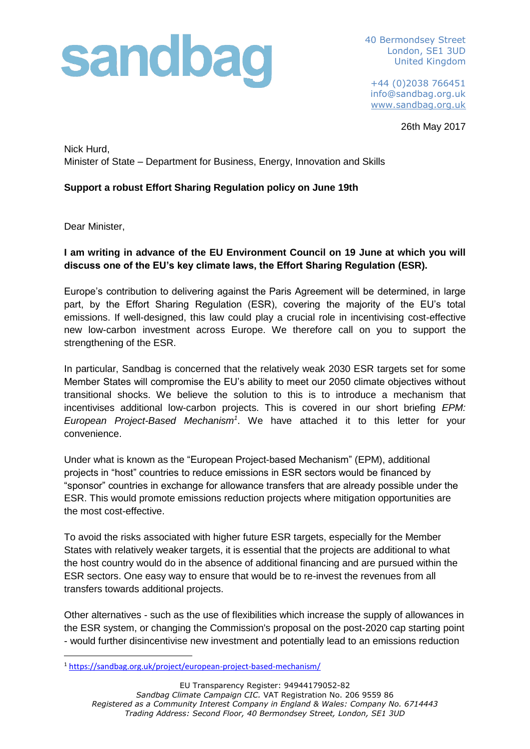## sandbag

40 Bermondsey Street London, SE1 3UD United Kingdom

 +44 (0)2038 766451 info@sandbag.org.uk [www.sandbag.org.uk](http://www.sandbag.org.uk/)

26th May 2017

Nick Hurd, Minister of State – Department for Business, Energy, Innovation and Skills

## **Support a robust Effort Sharing Regulation policy on June 19th**

Dear Minister,

## **I am writing in advance of the EU Environment Council on 19 June at which you will discuss one of the EU's key climate laws, the Effort Sharing Regulation (ESR).**

Europe's contribution to delivering against the Paris Agreement will be determined, in large part, by the Effort Sharing Regulation (ESR), covering the majority of the EU's total emissions. If well-designed, this law could play a crucial role in incentivising cost-effective new low-carbon investment across Europe. We therefore call on you to support the strengthening of the ESR.

In particular, Sandbag is concerned that the relatively weak 2030 ESR targets set for some Member States will compromise the EU's ability to meet our 2050 climate objectives without transitional shocks. We believe the solution to this is to introduce a mechanism that incentivises additional low-carbon projects. This is covered in our short briefing *EPM: European Project-Based Mechanism<sup>1</sup>* . We have attached it to this letter for your convenience.

Under what is known as the "European Project-based Mechanism" (EPM), additional projects in "host" countries to reduce emissions in ESR sectors would be financed by "sponsor" countries in exchange for allowance transfers that are already possible under the ESR. This would promote emissions reduction projects where mitigation opportunities are the most cost-effective.

To avoid the risks associated with higher future ESR targets, especially for the Member States with relatively weaker targets, it is essential that the projects are additional to what the host country would do in the absence of additional financing and are pursued within the ESR sectors. One easy way to ensure that would be to re-invest the revenues from all transfers towards additional projects.

Other alternatives - such as the use of flexibilities which increase the supply of allowances in the ESR system, or changing the Commission's proposal on the post-2020 cap starting point - would further disincentivise new investment and potentially lead to an emissions reduction

**<sup>.</sup>** <sup>1</sup> <https://sandbag.org.uk/project/european-project-based-mechanism/>